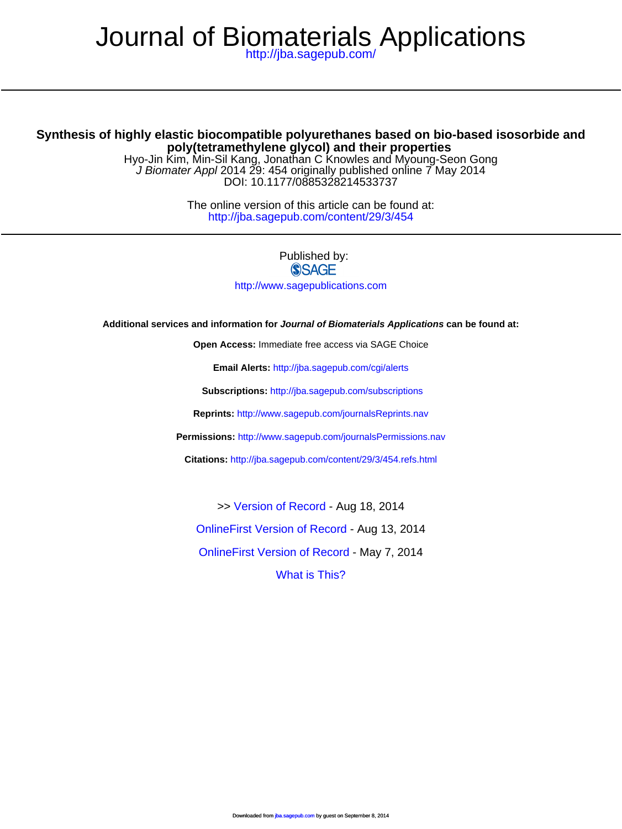# Journal of Biomaterials Applications

<http://jba.sagepub.com/>

# **poly(tetramethylene glycol) and their properties Synthesis of highly elastic biocompatible polyurethanes based on bio-based isosorbide and**

DOI: 10.1177/0885328214533737 J Biomater Appl 2014 29: 454 originally published online 7 May 2014 Hyo-Jin Kim, Min-Sil Kang, Jonathan C Knowles and Myoung-Seon Gong

> <http://jba.sagepub.com/content/29/3/454> The online version of this article can be found at:

> > Published by:<br>
> > SAGE <http://www.sagepublications.com>

#### **Additional services and information for Journal of Biomaterials Applications can be found at:**

**Open Access:** Immediate free access via SAGE Choice

**Email Alerts:** <http://jba.sagepub.com/cgi/alerts>

**Subscriptions:** <http://jba.sagepub.com/subscriptions>

**Reprints:** <http://www.sagepub.com/journalsReprints.nav>

**Permissions:** <http://www.sagepub.com/journalsPermissions.nav>

**Citations:** <http://jba.sagepub.com/content/29/3/454.refs.html>

>> [Version of Record -](http://jba.sagepub.com/content/29/3/454.full.pdf) Aug 18, 2014

[OnlineFirst Version of Record -](http://jba.sagepub.com/content/early/2014/08/13/0885328214533737.full.pdf) Aug 13, 2014

[OnlineFirst Version of Record -](http://jba.sagepub.com/content/early/2014/05/07/0885328214533737.full.pdf) May 7, 2014

[What is This?](http://online.sagepub.com/site/sphelp/vorhelp.xhtml)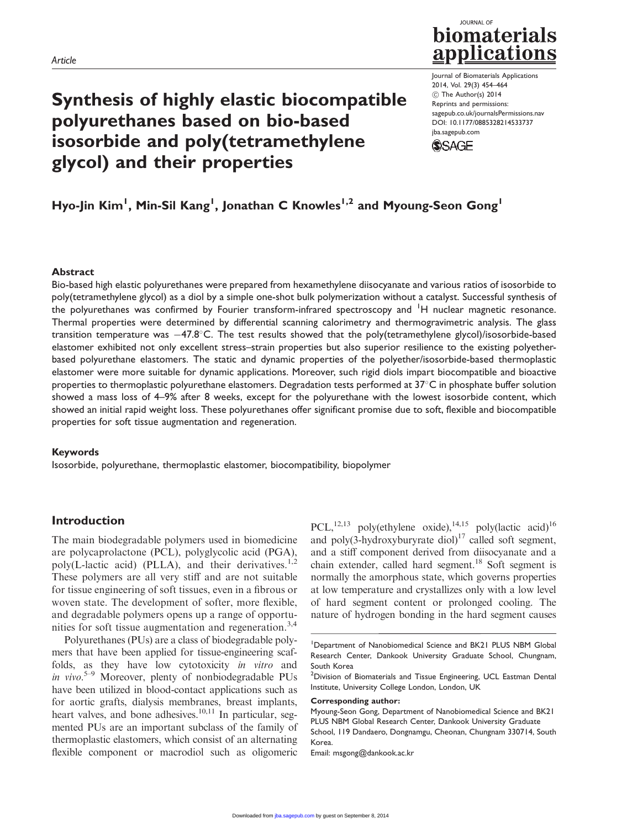# Synthesis of highly elastic biocompatible polyurethanes based on bio-based isosorbide and poly(tetramethylene glycol) and their properties



Journal of Biomaterials Applications 2014, Vol. 29(3) 454–464 ! The Author(s) 2014 Reprints and permissions: sagepub.co.uk/journalsPermissions.nav DOI: 10.1177/0885328214533737 jba.sagepub.com **SSAGE** 

Hyo-Jin Kim<sup>1</sup>, Min-Sil Kang<sup>1</sup>, Jonathan C Knowles<sup>1,2</sup> and Myoung-Seon Gong<sup>1</sup>

#### Abstract

Bio-based high elastic polyurethanes were prepared from hexamethylene diisocyanate and various ratios of isosorbide to poly(tetramethylene glycol) as a diol by a simple one-shot bulk polymerization without a catalyst. Successful synthesis of the polyurethanes was confirmed by Fourier transform-infrared spectroscopy and <sup>1</sup>H nuclear magnetic resonance. Thermal properties were determined by differential scanning calorimetry and thermogravimetric analysis. The glass transition temperature was  $-47.8^{\circ}$ C. The test results showed that the poly(tetramethylene glycol)/isosorbide-based elastomer exhibited not only excellent stress–strain properties but also superior resilience to the existing polyetherbased polyurethane elastomers. The static and dynamic properties of the polyether/isosorbide-based thermoplastic elastomer were more suitable for dynamic applications. Moreover, such rigid diols impart biocompatible and bioactive properties to thermoplastic polyurethane elastomers. Degradation tests performed at  $37^{\circ}$ C in phosphate buffer solution showed a mass loss of 4–9% after 8 weeks, except for the polyurethane with the lowest isosorbide content, which showed an initial rapid weight loss. These polyurethanes offer significant promise due to soft, flexible and biocompatible properties for soft tissue augmentation and regeneration.

#### Keywords

Isosorbide, polyurethane, thermoplastic elastomer, biocompatibility, biopolymer

### Introduction

The main biodegradable polymers used in biomedicine are polycaprolactone (PCL), polyglycolic acid (PGA), poly(L-lactic acid) (PLLA), and their derivatives.<sup>1,2</sup> These polymers are all very stiff and are not suitable for tissue engineering of soft tissues, even in a fibrous or woven state. The development of softer, more flexible, and degradable polymers opens up a range of opportunities for soft tissue augmentation and regeneration.<sup>3,4</sup>

Polyurethanes (PUs) are a class of biodegradable polymers that have been applied for tissue-engineering scaffolds, as they have low cytotoxicity in vitro and in vivo.<sup>5-9</sup> Moreover, plenty of nonbiodegradable PUs have been utilized in blood-contact applications such as for aortic grafts, dialysis membranes, breast implants, heart valves, and bone adhesives.<sup>10,11</sup> In particular, segmented PUs are an important subclass of the family of thermoplastic elastomers, which consist of an alternating flexible component or macrodiol such as oligomeric

PCL,<sup>12,13</sup> poly(ethylene oxide),<sup>14,15</sup> poly(lactic acid)<sup>16</sup> and poly(3-hydroxyburyrate diol) $17$  called soft segment, and a stiff component derived from diisocyanate and a chain extender, called hard segment.<sup>18</sup> Soft segment is normally the amorphous state, which governs properties at low temperature and crystallizes only with a low level of hard segment content or prolonged cooling. The nature of hydrogen bonding in the hard segment causes

Corresponding author:

Myoung-Seon Gong, Department of Nanobiomedical Science and BK21 PLUS NBM Global Research Center, Dankook University Graduate School, 119 Dandaero, Dongnamgu, Cheonan, Chungnam 330714, South Korea.

Email: msgong@dankook.ac.kr

<sup>&</sup>lt;sup>1</sup>Department of Nanobiomedical Science and BK21 PLUS NBM Global Research Center, Dankook University Graduate School, Chungnam, South Korea

<sup>&</sup>lt;sup>2</sup> Division of Biomaterials and Tissue Engineering, UCL Eastman Dental Institute, University College London, London, UK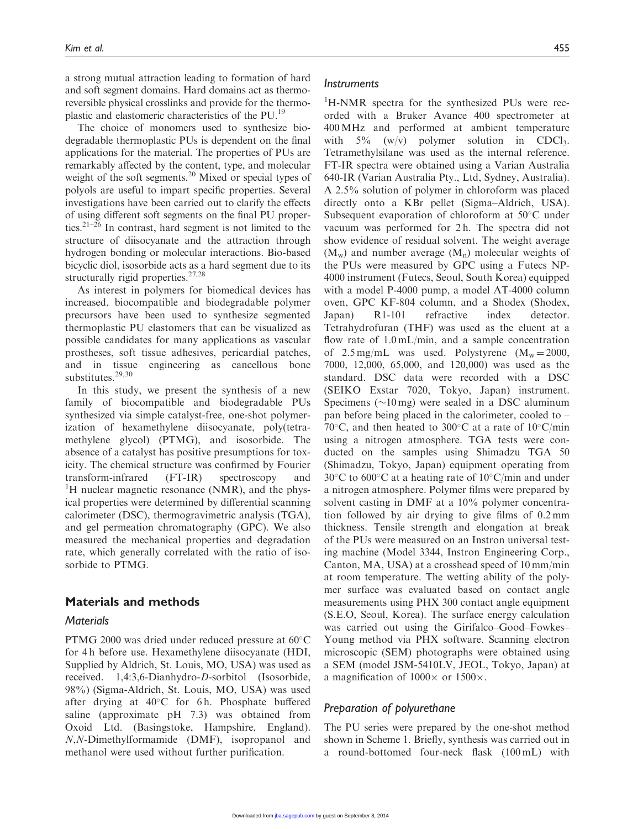a strong mutual attraction leading to formation of hard and soft segment domains. Hard domains act as thermoreversible physical crosslinks and provide for the thermoplastic and elastomeric characteristics of the PU.19

The choice of monomers used to synthesize biodegradable thermoplastic PUs is dependent on the final applications for the material. The properties of PUs are remarkably affected by the content, type, and molecular weight of the soft segments.<sup>20</sup> Mixed or special types of polyols are useful to impart specific properties. Several investigations have been carried out to clarify the effects of using different soft segments on the final PU properties.<sup>21–26</sup> In contrast, hard segment is not limited to the structure of diisocyanate and the attraction through hydrogen bonding or molecular interactions. Bio-based bicyclic diol, isosorbide acts as a hard segment due to its structurally rigid properties.<sup>27,28</sup>

As interest in polymers for biomedical devices has increased, biocompatible and biodegradable polymer precursors have been used to synthesize segmented thermoplastic PU elastomers that can be visualized as possible candidates for many applications as vascular prostheses, soft tissue adhesives, pericardial patches, and in tissue engineering as cancellous bone substitutes.<sup>29,30</sup>

In this study, we present the synthesis of a new family of biocompatible and biodegradable PUs synthesized via simple catalyst-free, one-shot polymerization of hexamethylene diisocyanate, poly(tetramethylene glycol) (PTMG), and isosorbide. The absence of a catalyst has positive presumptions for toxicity. The chemical structure was confirmed by Fourier transform-infrared (FT-IR) spectroscopy and <sup>1</sup>H nuclear magnetic resonance (NMR), and the physical properties were determined by differential scanning calorimeter (DSC), thermogravimetric analysis (TGA), and gel permeation chromatography (GPC). We also measured the mechanical properties and degradation rate, which generally correlated with the ratio of isosorbide to PTMG.

#### Materials and methods

#### **Materials**

PTMG 2000 was dried under reduced pressure at  $60^{\circ}$ C for 4 h before use. Hexamethylene diisocyanate (HDI, Supplied by Aldrich, St. Louis, MO, USA) was used as received. 1,4:3,6-Dianhydro-D-sorbitol (Isosorbide, 98%) (Sigma-Aldrich, St. Louis, MO, USA) was used after drying at  $40^{\circ}$ C for 6 h. Phosphate buffered saline (approximate pH 7.3) was obtained from Oxoid Ltd. (Basingstoke, Hampshire, England). N,N-Dimethylformamide (DMF), isopropanol and methanol were used without further purification.

#### **Instruments**

<sup>1</sup>H-NMR spectra for the synthesized PUs were recorded with a Bruker Avance 400 spectrometer at 400 MHz and performed at ambient temperature with  $5\%$  (w/v) polymer solution in CDCl<sub>3</sub>. Tetramethylsilane was used as the internal reference. FT-IR spectra were obtained using a Varian Australia 640-IR (Varian Australia Pty., Ltd, Sydney, Australia). A 2.5% solution of polymer in chloroform was placed directly onto a KBr pellet (Sigma–Aldrich, USA). Subsequent evaporation of chloroform at  $50^{\circ}$ C under vacuum was performed for 2h. The spectra did not show evidence of residual solvent. The weight average  $(M_w)$  and number average  $(M_n)$  molecular weights of the PUs were measured by GPC using a Futecs NP-4000 instrument (Futecs, Seoul, South Korea) equipped with a model P-4000 pump, a model AT-4000 column oven, GPC KF-804 column, and a Shodex (Shodex, Japan) R1-101 refractive index detector. Tetrahydrofuran (THF) was used as the eluent at a flow rate of 1.0 mL/min, and a sample concentration of 2.5 mg/mL was used. Polystyrene  $(M_w = 2000,$ 7000, 12,000, 65,000, and 120,000) was used as the standard. DSC data were recorded with a DSC (SEIKO Exstar 7020, Tokyo, Japan) instrument. Specimens  $(\sim 10 \,\text{mg})$  were sealed in a DSC aluminum pan before being placed in the calorimeter, cooled to – 70 $\rm ^{\circ}C$ , and then heated to 300 $\rm ^{\circ}C$  at a rate of 10 $\rm ^{\circ}C/min$ using a nitrogen atmosphere. TGA tests were conducted on the samples using Shimadzu TGA 50 (Shimadzu, Tokyo, Japan) equipment operating from  $30^{\circ}$ C to 600 $^{\circ}$ C at a heating rate of 10 $^{\circ}$ C/min and under a nitrogen atmosphere. Polymer films were prepared by solvent casting in DMF at a 10% polymer concentration followed by air drying to give films of 0.2 mm thickness. Tensile strength and elongation at break of the PUs were measured on an Instron universal testing machine (Model 3344, Instron Engineering Corp., Canton, MA, USA) at a crosshead speed of 10 mm/min at room temperature. The wetting ability of the polymer surface was evaluated based on contact angle measurements using PHX 300 contact angle equipment (S.E.O, Seoul, Korea). The surface energy calculation was carried out using the Girifalco–Good–Fowkes– Young method via PHX software. Scanning electron microscopic (SEM) photographs were obtained using a SEM (model JSM-5410LV, JEOL, Tokyo, Japan) at a magnification of  $1000 \times$  or  $1500 \times$ .

#### Preparation of polyurethane

The PU series were prepared by the one-shot method shown in Scheme 1. Briefly, synthesis was carried out in a round-bottomed four-neck flask (100 mL) with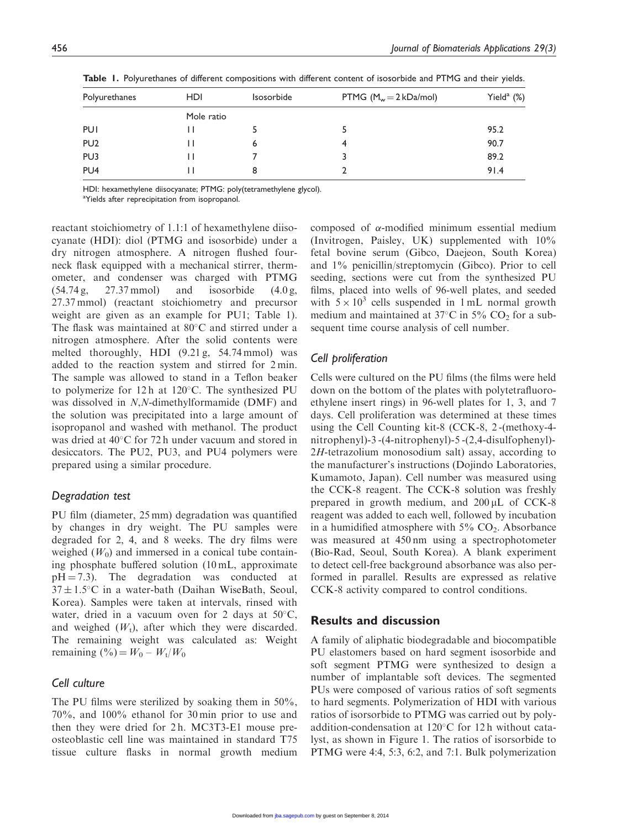| Polyurethanes   | <b>HDI</b> | Isosorbide | PTMG $(M_w = 2 kDa/mol)$ | Yield $^a$ (%) |  |  |  |
|-----------------|------------|------------|--------------------------|----------------|--|--|--|
|                 | Mole ratio |            |                          |                |  |  |  |
| PUI             | Ħ          |            |                          | 95.2           |  |  |  |
| PU <sub>2</sub> | l l        | 6          | 4                        | 90.7           |  |  |  |
| PU <sub>3</sub> | Ħ          |            |                          | 89.2           |  |  |  |
| PU <sub>4</sub> | l I        | 8          |                          | 91.4           |  |  |  |

Table 1. Polyurethanes of different compositions with different content of isosorbide and PTMG and their yields.

HDI: hexamethylene diisocyanate; PTMG: poly(tetramethylene glycol).

<sup>a</sup>Yields after reprecipitation from isopropanol.

reactant stoichiometry of 1.1:1 of hexamethylene diisocyanate (HDI): diol (PTMG and isosorbide) under a dry nitrogen atmosphere. A nitrogen flushed fourneck flask equipped with a mechanical stirrer, thermometer, and condenser was charged with PTMG  $(54.74 \text{ g}, \quad 27.37 \text{ mmol})$  and isosorbide  $(4.0 \text{ g},$ 27.37 mmol) (reactant stoichiometry and precursor weight are given as an example for PU1; Table 1). The flask was maintained at  $80^{\circ}$ C and stirred under a nitrogen atmosphere. After the solid contents were melted thoroughly, HDI (9.21 g, 54.74 mmol) was added to the reaction system and stirred for 2 min. The sample was allowed to stand in a Teflon beaker to polymerize for  $12h$  at  $120^{\circ}$ C. The synthesized PU was dissolved in N,N-dimethylformamide (DMF) and the solution was precipitated into a large amount of isopropanol and washed with methanol. The product was dried at  $40^{\circ}$ C for 72 h under vacuum and stored in desiccators. The PU2, PU3, and PU4 polymers were prepared using a similar procedure.

#### Degradation test

PU film (diameter, 25 mm) degradation was quantified by changes in dry weight. The PU samples were degraded for 2, 4, and 8 weeks. The dry films were weighed  $(W_0)$  and immersed in a conical tube containing phosphate buffered solution (10 mL, approximate  $pH = 7.3$ ). The degradation was conducted at  $37 \pm 1.5^{\circ}$ C in a water-bath (Daihan WiseBath, Seoul, Korea). Samples were taken at intervals, rinsed with water, dried in a vacuum oven for 2 days at  $50^{\circ}$ C, and weighed  $(W_t)$ , after which they were discarded. The remaining weight was calculated as: Weight remaining  $(^{0}_{0}) = W_{0} - W_{t}/W_{0}$ 

# Cell culture

The PU films were sterilized by soaking them in 50%, 70%, and 100% ethanol for 30 min prior to use and then they were dried for 2h. MC3T3-E1 mouse preosteoblastic cell line was maintained in standard T75 tissue culture flasks in normal growth medium

composed of  $\alpha$ -modified minimum essential medium (Invitrogen, Paisley, UK) supplemented with 10% fetal bovine serum (Gibco, Daejeon, South Korea) and 1% penicillin/streptomycin (Gibco). Prior to cell seeding, sections were cut from the synthesized PU films, placed into wells of 96-well plates, and seeded with  $5 \times 10^3$  cells suspended in 1 mL normal growth medium and maintained at  $37^{\circ}$ C in  $5\%$  CO<sub>2</sub> for a subsequent time course analysis of cell number.

#### Cell proliferation

Cells were cultured on the PU films (the films were held down on the bottom of the plates with polytetrafluoroethylene insert rings) in 96-well plates for 1, 3, and 7 days. Cell proliferation was determined at these times using the Cell Counting kit-8 (CCK-8, 2 -(methoxy-4 nitrophenyl)-3 -(4-nitrophenyl)-5 -(2,4-disulfophenyl)- 2H-tetrazolium monosodium salt) assay, according to the manufacturer's instructions (Dojindo Laboratories, Kumamoto, Japan). Cell number was measured using the CCK-8 reagent. The CCK-8 solution was freshly prepared in growth medium, and  $200 \mu L$  of CCK-8 reagent was added to each well, followed by incubation in a humidified atmosphere with  $5\%$  CO<sub>2</sub>. Absorbance was measured at 450 nm using a spectrophotometer (Bio-Rad, Seoul, South Korea). A blank experiment to detect cell-free background absorbance was also performed in parallel. Results are expressed as relative CCK-8 activity compared to control conditions.

# Results and discussion

A family of aliphatic biodegradable and biocompatible PU elastomers based on hard segment isosorbide and soft segment PTMG were synthesized to design a number of implantable soft devices. The segmented PUs were composed of various ratios of soft segments to hard segments. Polymerization of HDI with various ratios of isorsorbide to PTMG was carried out by polyaddition-condensation at  $120^{\circ}$ C for 12 h without catalyst, as shown in Figure 1. The ratios of isorsorbide to PTMG were 4:4, 5:3, 6:2, and 7:1. Bulk polymerization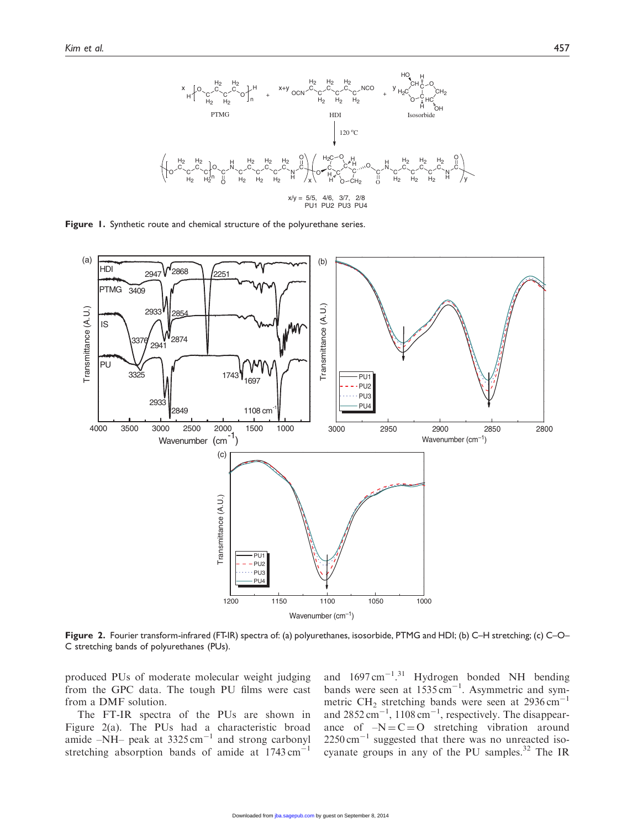

Figure 1. Synthetic route and chemical structure of the polyurethane series.



Figure 2. Fourier transform-infrared (FT-IR) spectra of: (a) polyurethanes, isosorbide, PTMG and HDI; (b) C–H stretching; (c) C–O– C stretching bands of polyurethanes (PUs).

produced PUs of moderate molecular weight judging from the GPC data. The tough PU films were cast from a DMF solution.

The FT-IR spectra of the PUs are shown in Figure 2(a). The PUs had a characteristic broad amide  $-NH$ – peak at 3325 cm<sup>-1</sup> and strong carbonyl stretching absorption bands of amide at  $1743 \text{ cm}^{-1}$ 

and  $1697 \text{ cm}^{-1}$ .<sup>31</sup> Hydrogen bonded NH bending bands were seen at  $1535 \text{ cm}^{-1}$ . Asymmetric and symmetric CH<sub>2</sub> stretching bands were seen at  $2936 \text{ cm}^{-1}$ and  $2852 \text{ cm}^{-1}$ ,  $1108 \text{ cm}^{-1}$ , respectively. The disappearance of  $-N = C = O$  stretching vibration around  $2250 \text{ cm}^{-1}$  suggested that there was no unreacted isocyanate groups in any of the PU samples. $32$  The IR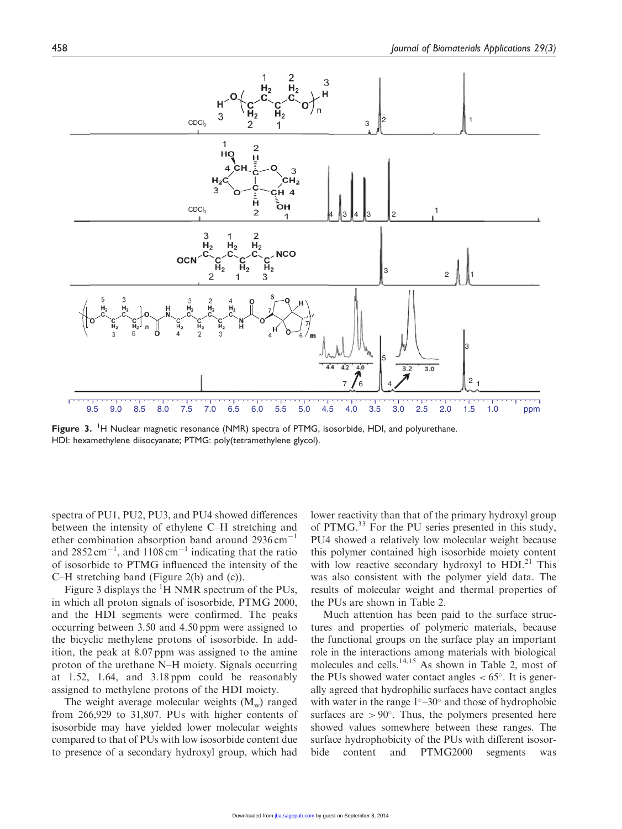

Figure 3. <sup>1</sup>H Nuclear magnetic resonance (NMR) spectra of PTMG, isosorbide, HDI, and polyurethane. HDI: hexamethylene diisocyanate; PTMG: poly(tetramethylene glycol).

spectra of PU1, PU2, PU3, and PU4 showed differences between the intensity of ethylene C–H stretching and ether combination absorption band around  $2936 \text{ cm}^{-1}$ and  $2852 \text{ cm}^{-1}$ , and  $1108 \text{ cm}^{-1}$  indicating that the ratio of isosorbide to PTMG influenced the intensity of the C–H stretching band (Figure 2(b) and (c)).

Figure 3 displays the  ${}^{1}$ H NMR spectrum of the PUs, in which all proton signals of isosorbide, PTMG 2000, and the HDI segments were confirmed. The peaks occurring between 3.50 and 4.50 ppm were assigned to the bicyclic methylene protons of isosorbide. In addition, the peak at 8.07 ppm was assigned to the amine proton of the urethane N–H moiety. Signals occurring at 1.52, 1.64, and 3.18 ppm could be reasonably assigned to methylene protons of the HDI moiety.

The weight average molecular weights  $(M_w)$  ranged from 266,929 to 31,807. PUs with higher contents of isosorbide may have yielded lower molecular weights compared to that of PUs with low isosorbide content due to presence of a secondary hydroxyl group, which had lower reactivity than that of the primary hydroxyl group of PTMG.33 For the PU series presented in this study, PU4 showed a relatively low molecular weight because this polymer contained high isosorbide moiety content with low reactive secondary hydroxyl to  $HDI^{21}$  This was also consistent with the polymer yield data. The results of molecular weight and thermal properties of the PUs are shown in Table 2.

Much attention has been paid to the surface structures and properties of polymeric materials, because the functional groups on the surface play an important role in the interactions among materials with biological molecules and cells.<sup>14,15</sup> As shown in Table 2, most of the PUs showed water contact angles  $< 65^\circ$ . It is generally agreed that hydrophilic surfaces have contact angles with water in the range  $1^{\circ}-30^{\circ}$  and those of hydrophobic surfaces are  $> 90^\circ$ . Thus, the polymers presented here showed values somewhere between these ranges. The surface hydrophobicity of the PUs with different isosorbide content and PTMG2000 segments was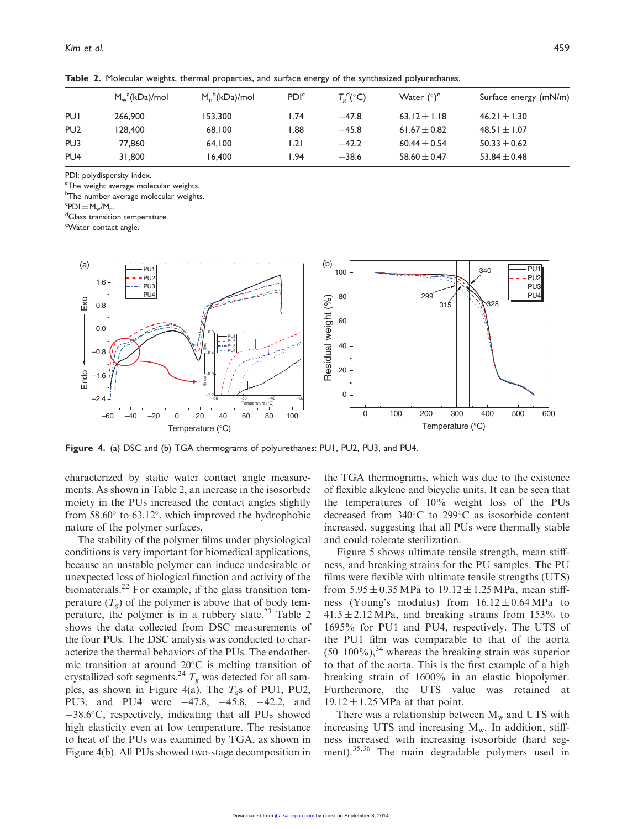|                 | $M_w^a(kDa)/mol$ | $M_n^b(kDa)/mol$ | PDI <sup>c</sup> | $T_{\sigma}^{\text{d}}(^{\circ}C)$ | Water $({}^{\circ})^e$ | Surface energy (mN/m) |
|-----------------|------------------|------------------|------------------|------------------------------------|------------------------|-----------------------|
| PUI             | 266,900          | 153,300          | 74. ا            | $-47.8$                            | 63.12 $\pm$ 1.18       | 46.21 $\pm$ 1.30      |
| PU <sub>2</sub> | 128,400          | 68,100           | 88. ا            | $-45.8$                            | 61.67 $\pm$ 0.82       | $48.51 \pm 1.07$      |
| PU3             | 77.860           | 64.100           | l.21             | $-42.2$                            | $60.44 \pm 0.54$       | $50.33 \pm 0.62$      |
| PU <sub>4</sub> | 31,800           | 16,400           | .94              | $-38.6$                            | $58.60 \pm 0.47$       | $53.84 \pm 0.48$      |

Table 2. Molecular weights, thermal properties, and surface energy of the synthesized polyurethanes.

PDI: polydispersity index.

 $^{\rm a}$ The weight average molecular weights.

<sup>b</sup>The number average molecular weights.

 ${}^c$ PDI = M<sub>w</sub>/M<sub>n</sub>.<br><sup>d</sup>Glass transitie

<sup>d</sup>Glass transition temperature.

e Water contact angle.



Figure 4. (a) DSC and (b) TGA thermograms of polyurethanes: PU1, PU2, PU3, and PU4.

characterized by static water contact angle measurements. As shown in Table 2, an increase in the isosorbide moiety in the PUs increased the contact angles slightly from  $58.60^{\circ}$  to  $63.12^{\circ}$ , which improved the hydrophobic nature of the polymer surfaces.

The stability of the polymer films under physiological conditions is very important for biomedical applications, because an unstable polymer can induce undesirable or unexpected loss of biological function and activity of the biomaterials.<sup>22</sup> For example, if the glass transition temperature  $(T_g)$  of the polymer is above that of body temperature, the polymer is in a rubbery state. $2<sup>3</sup>$  Table 2 shows the data collected from DSC measurements of the four PUs. The DSC analysis was conducted to characterize the thermal behaviors of the PUs. The endothermic transition at around  $20^{\circ}$ C is melting transition of crystallized soft segments.<sup>24</sup>  $T_g$  was detected for all samples, as shown in Figure 4(a). The  $T_g$ s of PU1, PU2, PU3, and PU4 were -47.8, -45.8, -42.2, and -38.6°C, respectively, indicating that all PUs showed high elasticity even at low temperature. The resistance to heat of the PUs was examined by TGA, as shown in Figure 4(b). All PUs showed two-stage decomposition in the TGA thermograms, which was due to the existence of flexible alkylene and bicyclic units. It can be seen that the temperatures of 10% weight loss of the PUs decreased from  $340^{\circ}$ C to  $299^{\circ}$ C as isosorbide content increased, suggesting that all PUs were thermally stable and could tolerate sterilization.

Figure 5 shows ultimate tensile strength, mean stiffness, and breaking strains for the PU samples. The PU films were flexible with ultimate tensile strengths (UTS) from  $5.95 \pm 0.35$  MPa to  $19.12 \pm 1.25$  MPa, mean stiffness (Young's modulus) from  $16.12 \pm 0.64 \text{ MPa}$  to  $41.5 \pm 2.12$  MPa, and breaking strains from 153% to 1695% for PU1 and PU4, respectively. The UTS of the PU1 film was comparable to that of the aorta  $(50-100\%)$ ,<sup>34</sup> whereas the breaking strain was superior to that of the aorta. This is the first example of a high breaking strain of 1600% in an elastic biopolymer. Furthermore, the UTS value was retained at  $19.12 \pm 1.25$  MPa at that point.

There was a relationship between  $M_w$  and UTS with increasing UTS and increasing  $M_w$ . In addition, stiffness increased with increasing isosorbide (hard segment).35,36 The main degradable polymers used in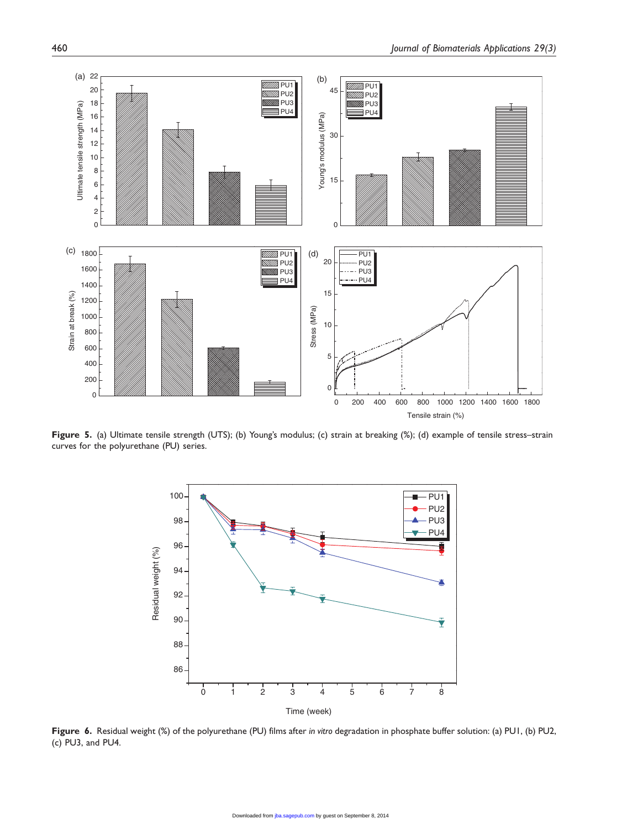

Figure 5. (a) Ultimate tensile strength (UTS); (b) Young's modulus; (c) strain at breaking (%); (d) example of tensile stress-strain curves for the polyurethane (PU) series.



Figure 6. Residual weight (%) of the polyurethane (PU) films after in vitro degradation in phosphate buffer solution: (a) PU1, (b) PU2, (c) PU3, and PU4.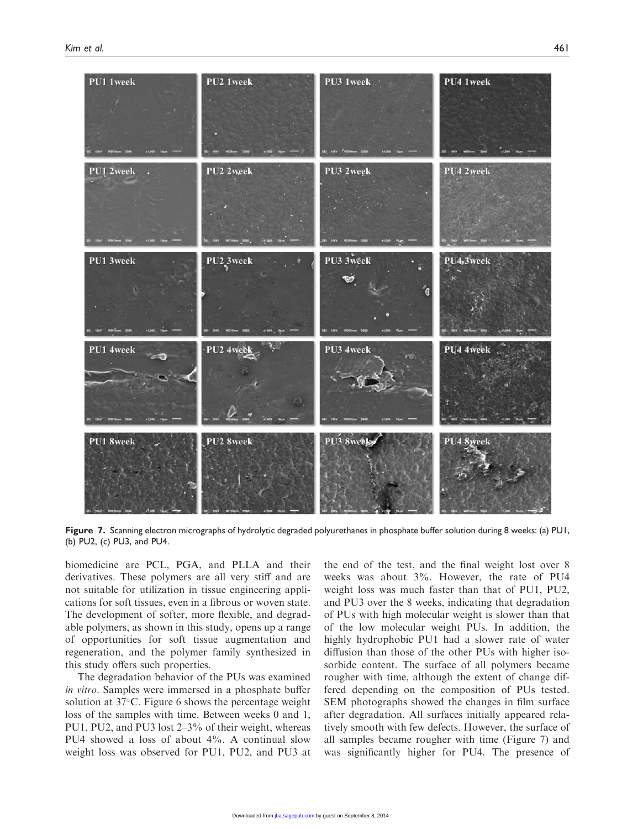

Figure 7. Scanning electron micrographs of hydrolytic degraded polyurethanes in phosphate buffer solution during 8 weeks: (a) PU1, (b) PU2, (c) PU3, and PU4.

biomedicine are PCL, PGA, and PLLA and their derivatives. These polymers are all very stiff and are not suitable for utilization in tissue engineering applications for soft tissues, even in a fibrous or woven state. The development of softer, more flexible, and degradable polymers, as shown in this study, opens up a range of opportunities for soft tissue augmentation and regeneration, and the polymer family synthesized in this study offers such properties.

The degradation behavior of the PUs was examined in vitro. Samples were immersed in a phosphate buffer solution at  $37^{\circ}$ C. Figure 6 shows the percentage weight loss of the samples with time. Between weeks 0 and 1, PU1, PU2, and PU3 lost 2–3% of their weight, whereas PU4 showed a loss of about 4%. A continual slow weight loss was observed for PU1, PU2, and PU3 at the end of the test, and the final weight lost over 8 weeks was about 3%. However, the rate of PU4 weight loss was much faster than that of PU1, PU2, and PU3 over the 8 weeks, indicating that degradation of PUs with high molecular weight is slower than that of the low molecular weight PUs. In addition, the highly hydrophobic PU1 had a slower rate of water diffusion than those of the other PUs with higher isosorbide content. The surface of all polymers became rougher with time, although the extent of change differed depending on the composition of PUs tested. SEM photographs showed the changes in film surface after degradation. All surfaces initially appeared relatively smooth with few defects. However, the surface of all samples became rougher with time (Figure 7) and was significantly higher for PU4. The presence of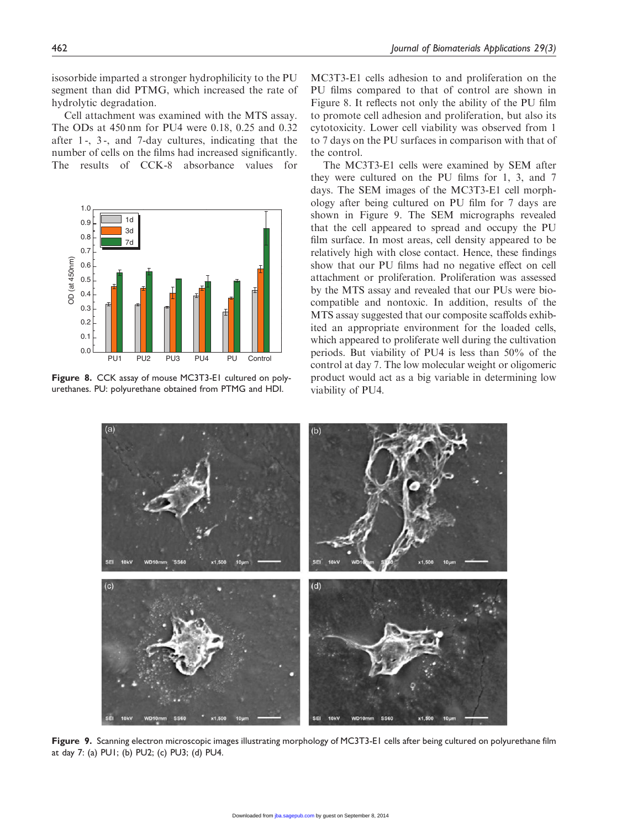isosorbide imparted a stronger hydrophilicity to the PU segment than did PTMG, which increased the rate of hydrolytic degradation.

Cell attachment was examined with the MTS assay. The ODs at 450 nm for PU4 were 0.18, 0.25 and 0.32 after 1 -, 3 -, and 7-day cultures, indicating that the number of cells on the films had increased significantly. The results of CCK-8 absorbance values for



Figure 8. CCK assay of mouse MC3T3-E1 cultured on polyurethanes. PU: polyurethane obtained from PTMG and HDI.

MC3T3-E1 cells adhesion to and proliferation on the PU films compared to that of control are shown in Figure 8. It reflects not only the ability of the PU film to promote cell adhesion and proliferation, but also its cytotoxicity. Lower cell viability was observed from 1 to 7 days on the PU surfaces in comparison with that of the control.

The MC3T3-E1 cells were examined by SEM after they were cultured on the PU films for 1, 3, and 7 days. The SEM images of the MC3T3-E1 cell morphology after being cultured on PU film for 7 days are shown in Figure 9. The SEM micrographs revealed that the cell appeared to spread and occupy the PU film surface. In most areas, cell density appeared to be relatively high with close contact. Hence, these findings show that our PU films had no negative effect on cell attachment or proliferation. Proliferation was assessed by the MTS assay and revealed that our PUs were biocompatible and nontoxic. In addition, results of the MTS assay suggested that our composite scaffolds exhibited an appropriate environment for the loaded cells, which appeared to proliferate well during the cultivation periods. But viability of PU4 is less than 50% of the control at day 7. The low molecular weight or oligomeric product would act as a big variable in determining low viability of PU4.



Figure 9. Scanning electron microscopic images illustrating morphology of MC3T3-E1 cells after being cultured on polyurethane film at day 7: (a) PU1; (b) PU2; (c) PU3; (d) PU4.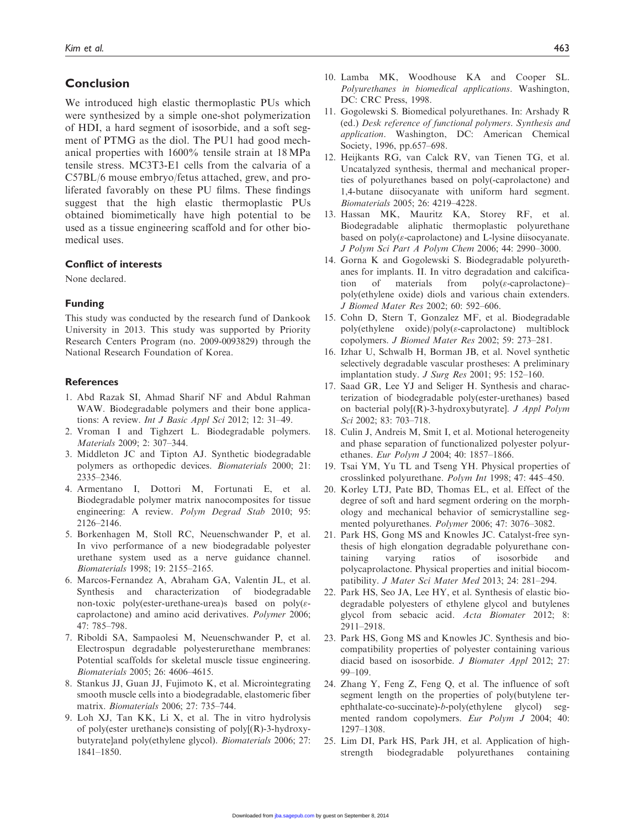# Conclusion

We introduced high elastic thermoplastic PUs which were synthesized by a simple one-shot polymerization of HDI, a hard segment of isosorbide, and a soft segment of PTMG as the diol. The PU1 had good mechanical properties with 1600% tensile strain at 18 MPa tensile stress. MC3T3-E1 cells from the calvaria of a C57BL/6 mouse embryo/fetus attached, grew, and proliferated favorably on these PU films. These findings suggest that the high elastic thermoplastic PUs obtained biomimetically have high potential to be used as a tissue engineering scaffold and for other biomedical uses.

#### Conflict of interests

None declared.

#### Funding

This study was conducted by the research fund of Dankook University in 2013. This study was supported by Priority Research Centers Program (no. 2009-0093829) through the National Research Foundation of Korea.

#### **References**

- 1. Abd Razak SI, Ahmad Sharif NF and Abdul Rahman WAW. Biodegradable polymers and their bone applications: A review. Int J Basic Appl Sci 2012; 12: 31–49.
- 2. Vroman I and Tighzert L. Biodegradable polymers. Materials 2009; 2: 307–344.
- 3. Middleton JC and Tipton AJ. Synthetic biodegradable polymers as orthopedic devices. Biomaterials 2000; 21: 2335–2346.
- 4. Armentano I, Dottori M, Fortunati E, et al. Biodegradable polymer matrix nanocomposites for tissue engineering: A review. Polym Degrad Stab 2010; 95: 2126–2146.
- 5. Borkenhagen M, Stoll RC, Neuenschwander P, et al. In vivo performance of a new biodegradable polyester urethane system used as a nerve guidance channel. Biomaterials 1998; 19: 2155–2165.
- 6. Marcos-Fernandez A, Abraham GA, Valentin JL, et al. Synthesis and characterization of biodegradable non-toxic poly(ester-urethane-urea)s based on poly( $\varepsilon$ caprolactone) and amino acid derivatives. Polymer 2006; 47: 785–798.
- 7. Riboldi SA, Sampaolesi M, Neuenschwander P, et al. Electrospun degradable polyesterurethane membranes: Potential scaffolds for skeletal muscle tissue engineering. Biomaterials 2005; 26: 4606–4615.
- 8. Stankus JJ, Guan JJ, Fujimoto K, et al. Microintegrating smooth muscle cells into a biodegradable, elastomeric fiber matrix. Biomaterials 2006; 27: 735–744.
- 9. Loh XJ, Tan KK, Li X, et al. The in vitro hydrolysis of poly(ester urethane)s consisting of poly[(R)-3-hydroxybutyrate]and poly(ethylene glycol). Biomaterials 2006; 27: 1841–1850.
- 10. Lamba MK, Woodhouse KA and Cooper SL. Polyurethanes in biomedical applications. Washington, DC: CRC Press, 1998.
- 11. Gogolewski S. Biomedical polyurethanes. In: Arshady R (ed.) Desk reference of functional polymers. Synthesis and application. Washington, DC: American Chemical Society, 1996, pp.657–698.
- 12. Heijkants RG, van Calck RV, van Tienen TG, et al. Uncatalyzed synthesis, thermal and mechanical properties of polyurethanes based on poly(-caprolactone) and 1,4-butane diisocyanate with uniform hard segment. Biomaterials 2005; 26: 4219–4228.
- 13. Hassan MK, Mauritz KA, Storey RF, et al. Biodegradable aliphatic thermoplastic polyurethane based on  $poly(\varepsilon$ -caprolactone) and L-lysine diisocyanate. J Polym Sci Part A Polym Chem 2006; 44: 2990–3000.
- 14. Gorna K and Gogolewski S. Biodegradable polyurethanes for implants. II. In vitro degradation and calcification of materials from  $poly(\varepsilon$ -caprolactone)– poly(ethylene oxide) diols and various chain extenders. J Biomed Mater Res 2002; 60: 592–606.
- 15. Cohn D, Stern T, Gonzalez MF, et al. Biodegradable  $poly(ethylene -oxide)/poly(\varepsilon-caprolactone) -multiblock$ copolymers. J Biomed Mater Res 2002; 59: 273–281.
- 16. Izhar U, Schwalb H, Borman JB, et al. Novel synthetic selectively degradable vascular prostheses: A preliminary implantation study. J Surg Res 2001; 95: 152–160.
- 17. Saad GR, Lee YJ and Seliger H. Synthesis and characterization of biodegradable poly(ester-urethanes) based on bacterial poly[(R)-3-hydroxybutyrate]. J Appl Polym Sci 2002; 83: 703–718.
- 18. Culin J, Andreis M, Smit I, et al. Motional heterogeneity and phase separation of functionalized polyester polyurethanes. Eur Polym J 2004; 40: 1857–1866.
- 19. Tsai YM, Yu TL and Tseng YH. Physical properties of crosslinked polyurethane. Polym Int 1998; 47: 445–450.
- 20. Korley LTJ, Pate BD, Thomas EL, et al. Effect of the degree of soft and hard segment ordering on the morphology and mechanical behavior of semicrystalline segmented polyurethanes. Polymer 2006; 47: 3076–3082.
- 21. Park HS, Gong MS and Knowles JC. Catalyst-free synthesis of high elongation degradable polyurethane containing varying ratios of isosorbide and polycaprolactone. Physical properties and initial biocompatibility. J Mater Sci Mater Med 2013; 24: 281–294.
- 22. Park HS, Seo JA, Lee HY, et al. Synthesis of elastic biodegradable polyesters of ethylene glycol and butylenes glycol from sebacic acid. Acta Biomater 2012; 8: 2911–2918.
- 23. Park HS, Gong MS and Knowles JC. Synthesis and biocompatibility properties of polyester containing various diacid based on isosorbide. J Biomater Appl 2012; 27: 99–109.
- 24. Zhang Y, Feng Z, Feng Q, et al. The influence of soft segment length on the properties of poly(butylene terephthalate-co-succinate)-b-poly(ethylene glycol) segmented random copolymers. Eur Polym J 2004; 40: 1297–1308.
- 25. Lim DI, Park HS, Park JH, et al. Application of highstrength biodegradable polyurethanes containing